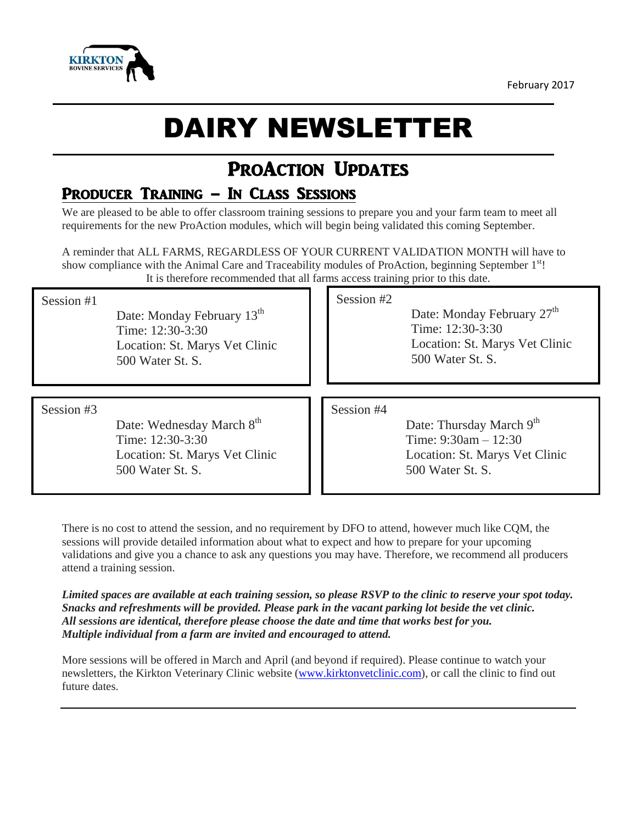



# DAIRY NEWSLETTER

## PROACTION UPDATES

## Producer Training – In Class Sessions

We are pleased to be able to offer classroom training sessions to prepare you and your farm team to meet all requirements for the new ProAction modules, which will begin being validated this coming September.

A reminder that ALL FARMS, REGARDLESS OF YOUR CURRENT VALIDATION MONTH will have to show compliance with the Animal Care and Traceability modules of ProAction, beginning September 1<sup>st</sup>! It is therefore recommended that all farms access training prior to this date.

#### Session #1

Date: Monday February 13<sup>th</sup> Time: 12:30-3:30 Location: St. Marys Vet Clinic 500 Water St. S.

Session #2

Date: Monday February 27<sup>th</sup> Time: 12:30-3:30 Location: St. Marys Vet Clinic 500 Water St. S.

#### Session #3

Date: Wednesday March 8<sup>th</sup> Time: 12:30-3:30 Location: St. Marys Vet Clinic 500 Water St. S.

#### Session #4

Date: Thursday March 9<sup>th</sup> Time: 9:30am – 12:30 Location: St. Marys Vet Clinic 500 Water St. S.

There is no cost to attend the session, and no requirement by DFO to attend, however much like CQM, the sessions will provide detailed information about what to expect and how to prepare for your upcoming validations and give you a chance to ask any questions you may have. Therefore, we recommend all producers attend a training session.

Limited spaces are available at each training session, so please RSVP to the clinic to reserve your spot today. *Snacks and refreshments will be provided. Please park in the vacant parking lot beside the vet clinic. All sessions are identical, therefore please choose the date and time that works best for you. Multiple individual from a farm are invited and encouraged to attend.*

More sessions will be offered in March and April (and beyond if required). Please continue to watch your newsletters, the Kirkton Veterinary Clinic website [\(www.kirktonvetclinic.com\)](http://www.kirktonvetclinic.com/), or call the clinic to find out future dates.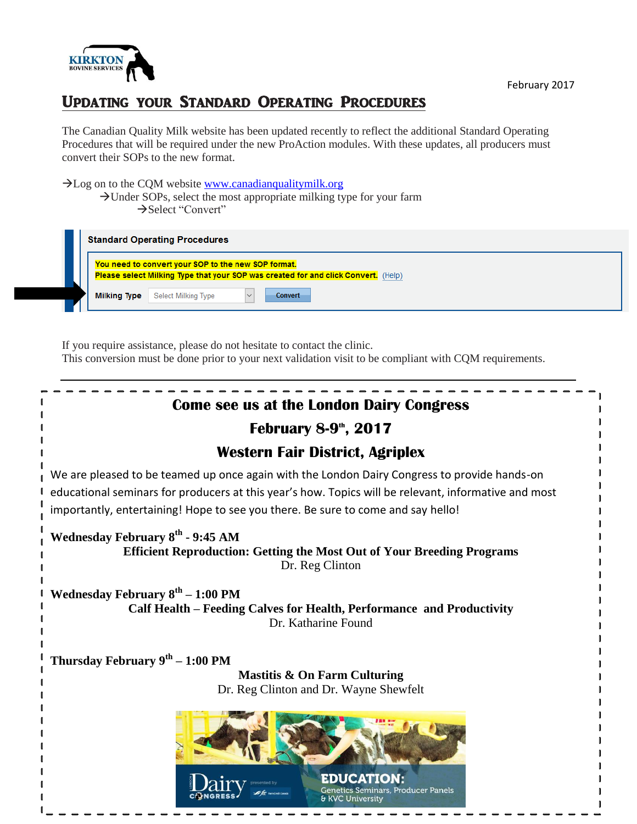

## Updating your Standard Operating Procedures

The Canadian Quality Milk website has been updated recently to reflect the additional Standard Operating Procedures that will be required under the new ProAction modules. With these updates, all producers must convert their SOPs to the new format.

#### >Log on to the CQM website [www.canadianqualitymilk.org](http://www.canadianqualitymilk.org/)  $\rightarrow$ Under SOPs, select the most appropriate milking type for your farm → Select "Convert"

| <b>Standard Operating Procedures</b>                                                                                                      |                     |                                              |
|-------------------------------------------------------------------------------------------------------------------------------------------|---------------------|----------------------------------------------|
| You need to convert your SOP to the new SOP format.<br>Please select Milking Type that your SOP was created for and click Convert. (Help) |                     |                                              |
|                                                                                                                                           | <b>Milking Type</b> | <b>Select Milking Type</b><br><b>Convert</b> |

If you require assistance, please do not hesitate to contact the clinic. This conversion must be done prior to your next validation visit to be compliant with CQM requirements.